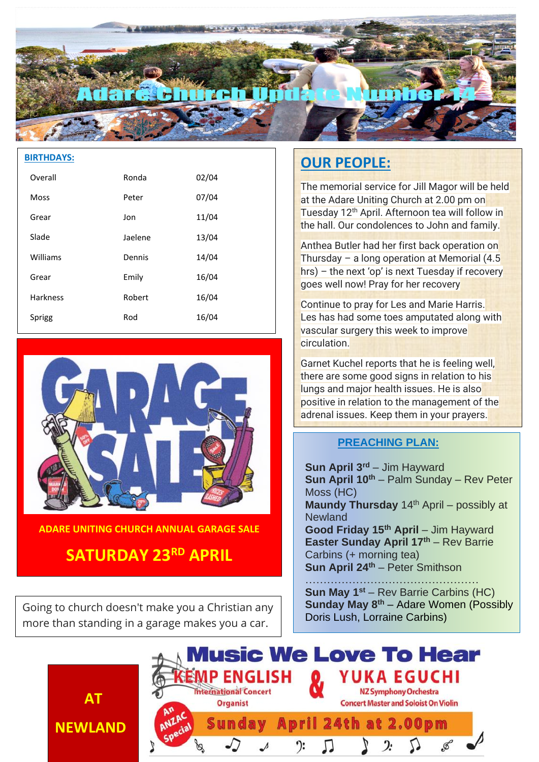

#### **BIRTHDAYS:**

| Overall         | Ronda   | 02/04 |
|-----------------|---------|-------|
| <b>Moss</b>     | Peter   | 07/04 |
| Grear           | Jon     | 11/04 |
| Slade           | Jaelene | 13/04 |
| Williams        | Dennis  | 14/04 |
| Grear           | Emily   | 16/04 |
| <b>Harkness</b> | Robert  | 16/04 |
| Sprigg          | Rod     | 16/04 |



**ADARE UNITING CHURCH ANNUAL GARAGE SALE**

# **SATURDAY 23RD APRIL**

Going to church doesn't make you a Christian any more than standing in a garage makes you a car.

**AT**

**NEWLAND**

# **OUR PEOPLE:**

The memorial service for Jill Magor will be held at the Adare Uniting Church at 2.00 pm on Tuesday 12<sup>th</sup> April. Afternoon tea will follow in the hall. Our condolences to John and family.

Anthea Butler had her first back operation on Thursday – a long operation at Memorial  $(4.5)$ hrs) – the next 'op' is next Tuesday if recovery goes well now! Pray for her recovery

Continue to pray for Les and Marie Harris. Les has had some toes amputated along with vascular surgery this week to improve **circulation** 

Garnet Kuchel reports that he is feeling well, there are some good signs in relation to his lungs and major health issues. He is also positive in relation to the management of the adrenal issues. Keep them in your prayers.

## **PREACHING PLAN:**

**Sun April 3rd** – Jim Hayward **Sun April 10th** – Palm Sunday – Rev Peter Moss (HC) **Maundy Thursday** 14<sup>th</sup> April – possibly at **Newland Good Friday 15th April** – Jim Hayward **Easter Sunday April 17th** – Rev Barrie Carbins (+ morning tea) **Sun April 24th** – Peter Smithson

………………………………………… **Sun May 1st** – Rev Barrie Carbins (HC) **Sunday May 8th** – Adare Women (Possibly Doris Lush, Lorraine Carbins)

**Music We Love To Hear** YUKA EGUCHI MP ENGLISH **International Concert NZ Symphony Orchestra Organist Concert Master and Soloist On Violin** April 24th at 2.00pm Sundav